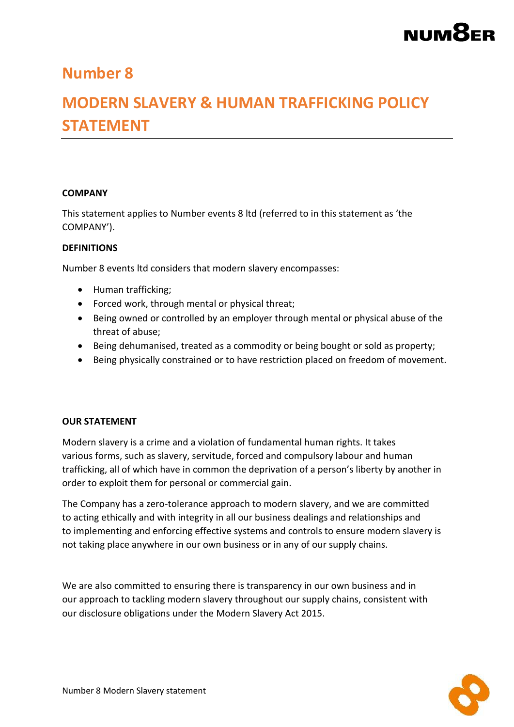# NUM<sub>8</sub>ER

### **Number 8**

### **MODERN SLAVERY & HUMAN TRAFFICKING POLICY STATEMENT**

#### **COMPANY**

This statement applies to Number events 8 ltd (referred to in this statement as 'the COMPANY').

#### **DEFINITIONS**

Number 8 events ltd considers that modern slavery encompasses:

- Human trafficking;
- Forced work, through mental or physical threat;
- Being owned or controlled by an employer through mental or physical abuse of the threat of abuse;
- Being dehumanised, treated as a commodity or being bought or sold as property;
- Being physically constrained or to have restriction placed on freedom of movement.

#### **OUR STATEMENT**

Modern slavery is a crime and a violation of fundamental human rights. It takes various forms, such as slavery, servitude, forced and compulsory labour and human trafficking, all of which have in common the deprivation of a person's liberty by another in order to exploit them for personal or commercial gain.

The Company has a zero-tolerance approach to modern slavery, and we are committed to acting ethically and with integrity in all our business dealings and relationships and to implementing and enforcing effective systems and controls to ensure modern slavery is not taking place anywhere in our own business or in any of our supply chains.

We are also committed to ensuring there is transparency in our own business and in our approach to tackling modern slavery throughout our supply chains, consistent with our disclosure obligations under the Modern Slavery Act 2015.

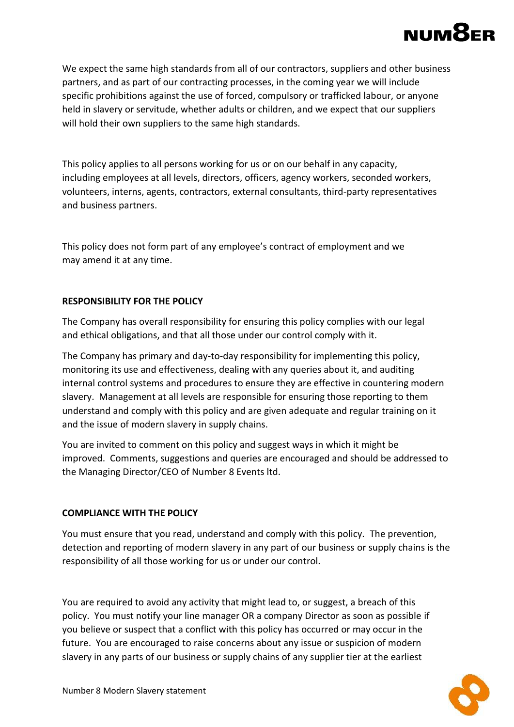### **NUM8**

We expect the same high standards from all of our contractors, suppliers and other business partners, and as part of our contracting processes, in the coming year we will include specific prohibitions against the use of forced, compulsory or trafficked labour, or anyone held in slavery or servitude, whether adults or children, and we expect that our suppliers will hold their own suppliers to the same high standards.

This policy applies to all persons working for us or on our behalf in any capacity, including employees at all levels, directors, officers, agency workers, seconded workers, volunteers, interns, agents, contractors, external consultants, third-party representatives and business partners.

This policy does not form part of any employee's contract of employment and we may amend it at any time.

#### **RESPONSIBILITY FOR THE POLICY**

The Company has overall responsibility for ensuring this policy complies with our legal and ethical obligations, and that all those under our control comply with it.

The Company has primary and day-to-day responsibility for implementing this policy, monitoring its use and effectiveness, dealing with any queries about it, and auditing internal control systems and procedures to ensure they are effective in countering modern slavery. Management at all levels are responsible for ensuring those reporting to them understand and comply with this policy and are given adequate and regular training on it and the issue of modern slavery in supply chains.

You are invited to comment on this policy and suggest ways in which it might be improved. Comments, suggestions and queries are encouraged and should be addressed to the Managing Director/CEO of Number 8 Events ltd.

#### **COMPLIANCE WITH THE POLICY**

You must ensure that you read, understand and comply with this policy. The prevention, detection and reporting of modern slavery in any part of our business or supply chains is the responsibility of all those working for us or under our control.

You are required to avoid any activity that might lead to, or suggest, a breach of this policy. You must notify your line manager OR a company Director as soon as possible if you believe or suspect that a conflict with this policy has occurred or may occur in the future. You are encouraged to raise concerns about any issue or suspicion of modern slavery in any parts of our business or supply chains of any supplier tier at the earliest

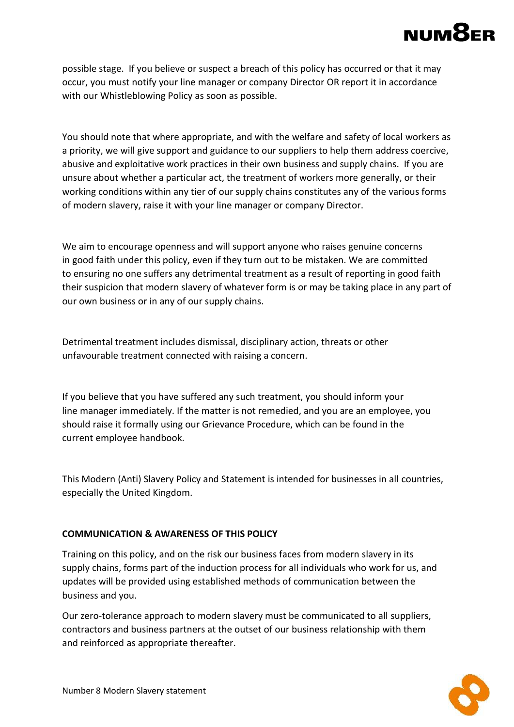### **NUM8**

possible stage. If you believe or suspect a breach of this policy has occurred or that it may occur, you must notify your line manager or company Director OR report it in accordance with our Whistleblowing Policy as soon as possible.

You should note that where appropriate, and with the welfare and safety of local workers as a priority, we will give support and guidance to our suppliers to help them address coercive, abusive and exploitative work practices in their own business and supply chains. If you are unsure about whether a particular act, the treatment of workers more generally, or their working conditions within any tier of our supply chains constitutes any of the various forms of modern slavery, raise it with your line manager or company Director.

We aim to encourage openness and will support anyone who raises genuine concerns in good faith under this policy, even if they turn out to be mistaken. We are committed to ensuring no one suffers any detrimental treatment as a result of reporting in good faith their suspicion that modern slavery of whatever form is or may be taking place in any part of our own business or in any of our supply chains.

Detrimental treatment includes dismissal, disciplinary action, threats or other unfavourable treatment connected with raising a concern.

If you believe that you have suffered any such treatment, you should inform your line manager immediately. If the matter is not remedied, and you are an employee, you should raise it formally using our Grievance Procedure, which can be found in the current employee handbook.

This Modern (Anti) Slavery Policy and Statement is intended for businesses in all countries, especially the United Kingdom.

#### **COMMUNICATION & AWARENESS OF THIS POLICY**

Training on this policy, and on the risk our business faces from modern slavery in its supply chains, forms part of the induction process for all individuals who work for us, and updates will be provided using established methods of communication between the business and you.

Our zero-tolerance approach to modern slavery must be communicated to all suppliers, contractors and business partners at the outset of our business relationship with them and reinforced as appropriate thereafter.